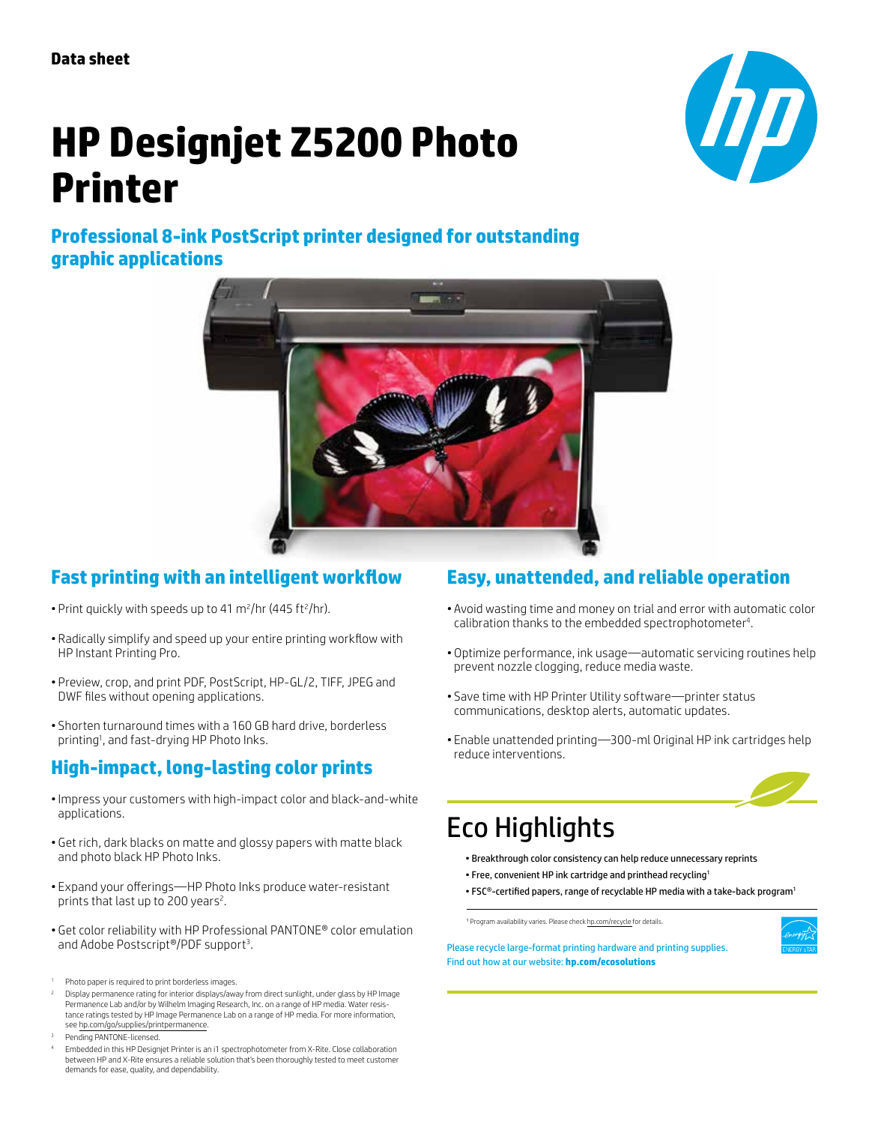**Data sheet**

# **HP Designjet Z5200 Photo Printer**



**Professional 8-ink PostScript printer designed for outstanding graphic applications**



## **Fast printing with an intelligent workflow**

- Print quickly with speeds up to 41  $\mathrm{m}^2/\mathrm{hr}$  (445 ft $^2/\mathrm{hr}$ ).
- • Radically simplify and speed up your entire printing workflow with HP Instant Printing Pro.
- Preview, crop, and print PDF, PostScript, HP-GL/2, TIFF, JPEG and DWF files without opening applications.
- Shorten turnaround times with a 160 GB hard drive, borderless printing1 , and fast-drying HP Photo Inks.

## **High-impact, long-lasting color prints**

- Impress your customers with high-impact color and black-and-white applications.
- Get rich, dark blacks on matte and glossy papers with matte black and photo black HP Photo Inks.
- Expand your offerings—HP Photo Inks produce water-resistant prints that last up to 200 years<sup>2</sup>.
- • Get color reliability with HP Professional PANTONE® color emulation and Adobe Postscript®/PDF support<sup>3</sup>.
- 1 Photo paper is required to print borderless images.
- 2 Display permanence rating for interior displays/away from direct sunlight, under glass by HP Image Permanence Lab and/or by Wilhelm Imaging Research, Inc. on a range of HP media. Water resistance ratings tested by HP Image Permanence Lab on a range of HP media. For more information, see [hp.com/go/supplies/printpermanence.](www.hp.com/go/supplies/printpermanence)
- 3 Pending PANTONE-licensed.

## **Easy, unattended, and reliable operation**

- • Avoid wasting time and money on trial and error with automatic color calibration thanks to the embedded spectrophotometer<sup>4</sup>.
- • Optimize performance, ink usage—automatic servicing routines help prevent nozzle clogging, reduce media waste.
- • Save time with HP Printer Utility software—printer status communications, desktop alerts, automatic updates.
- Enable unattended printing—300-ml Original HP ink cartridges help reduce interventions.



## Eco Highlights

- Breakthrough color consistency can help reduce unnecessary reprints
- Free, convenient HP ink cartridge and printhead recycling<sup>1</sup>
- FSC®-certified papers, range of recyclable HP media with a take-back program<sup>1</sup>

<sup>1</sup> Program availability varies. Please check [hp.com/recycle](www.hp.com/recycle) for details.



Please recycle large-format printing hardware and printing supplies. Find out how at our website: **[hp.com/ecosolutions](www.hp.com/ecosolutions)**

<sup>4</sup> Embedded in this HP Designjet Printer is an i1 spectrophotometer from X-Rite. Close collaboration between HP and X-Rite ensures a reliable solution that's been thoroughly tested to meet customer demands for ease, quality, and dependability.